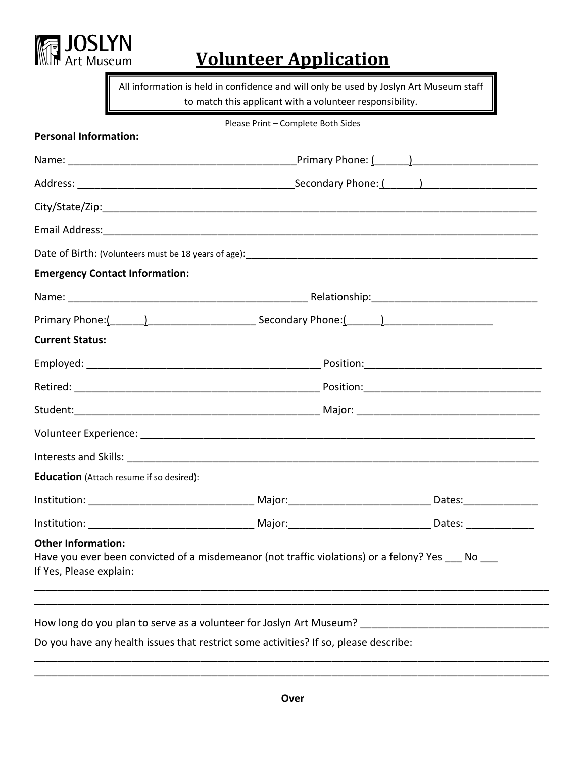

# **Volunteer Application**

All information is held in confidence and will only be used by Joslyn Art Museum staff to match this applicant with a volunteer responsibility.

|  | Please Print – Complete Both Sides |
|--|------------------------------------|
|  |                                    |

|                                                      |                                                                                                                                                                                                                                | Primary Phone: $\begin{pmatrix} 1 & 1 \\ 1 & 1 \end{pmatrix}$ |  |  |  |  |  |  |
|------------------------------------------------------|--------------------------------------------------------------------------------------------------------------------------------------------------------------------------------------------------------------------------------|---------------------------------------------------------------|--|--|--|--|--|--|
|                                                      |                                                                                                                                                                                                                                |                                                               |  |  |  |  |  |  |
|                                                      |                                                                                                                                                                                                                                |                                                               |  |  |  |  |  |  |
|                                                      |                                                                                                                                                                                                                                |                                                               |  |  |  |  |  |  |
|                                                      |                                                                                                                                                                                                                                |                                                               |  |  |  |  |  |  |
| <b>Emergency Contact Information:</b>                |                                                                                                                                                                                                                                |                                                               |  |  |  |  |  |  |
|                                                      |                                                                                                                                                                                                                                |                                                               |  |  |  |  |  |  |
|                                                      |                                                                                                                                                                                                                                |                                                               |  |  |  |  |  |  |
| <b>Current Status:</b>                               |                                                                                                                                                                                                                                |                                                               |  |  |  |  |  |  |
|                                                      |                                                                                                                                                                                                                                |                                                               |  |  |  |  |  |  |
|                                                      |                                                                                                                                                                                                                                |                                                               |  |  |  |  |  |  |
|                                                      | Student: Major: Major: Major: Major: Major: Major: Major: Major: Major: Major: Major: Major: Major: Major: Major: Major: Major: Major: Major: Major: Major: Major: Major: Major: Major: Major: Major: Major: Major: Major: Maj |                                                               |  |  |  |  |  |  |
|                                                      |                                                                                                                                                                                                                                |                                                               |  |  |  |  |  |  |
|                                                      |                                                                                                                                                                                                                                |                                                               |  |  |  |  |  |  |
| Education (Attach resume if so desired):             |                                                                                                                                                                                                                                |                                                               |  |  |  |  |  |  |
|                                                      |                                                                                                                                                                                                                                |                                                               |  |  |  |  |  |  |
|                                                      |                                                                                                                                                                                                                                |                                                               |  |  |  |  |  |  |
| <b>Other Information:</b><br>If Yes, Please explain: | Have you ever been convicted of a misdemeanor (not traffic violations) or a felony? Yes ___ No ___<br><u> 1989 - Johann Stoff, deutscher Stoff, der Stoff, der Stoff, der Stoff, der Stoff, der Stoff, der Stoff, der S</u>    |                                                               |  |  |  |  |  |  |
|                                                      |                                                                                                                                                                                                                                |                                                               |  |  |  |  |  |  |

Do you have any health issues that restrict some activities? If so, please describe:

\_\_\_\_\_\_\_\_\_\_\_\_\_\_\_\_\_\_\_\_\_\_\_\_\_\_\_\_\_\_\_\_\_\_\_\_\_\_\_\_\_\_\_\_\_\_\_\_\_\_\_\_\_\_\_\_\_\_\_\_\_\_\_\_\_\_\_\_\_\_\_\_\_\_\_\_\_\_\_\_\_\_\_\_\_\_\_\_\_\_ \_\_\_\_\_\_\_\_\_\_\_\_\_\_\_\_\_\_\_\_\_\_\_\_\_\_\_\_\_\_\_\_\_\_\_\_\_\_\_\_\_\_\_\_\_\_\_\_\_\_\_\_\_\_\_\_\_\_\_\_\_\_\_\_\_\_\_\_\_\_\_\_\_\_\_\_\_\_\_\_\_\_\_\_\_\_\_\_\_\_